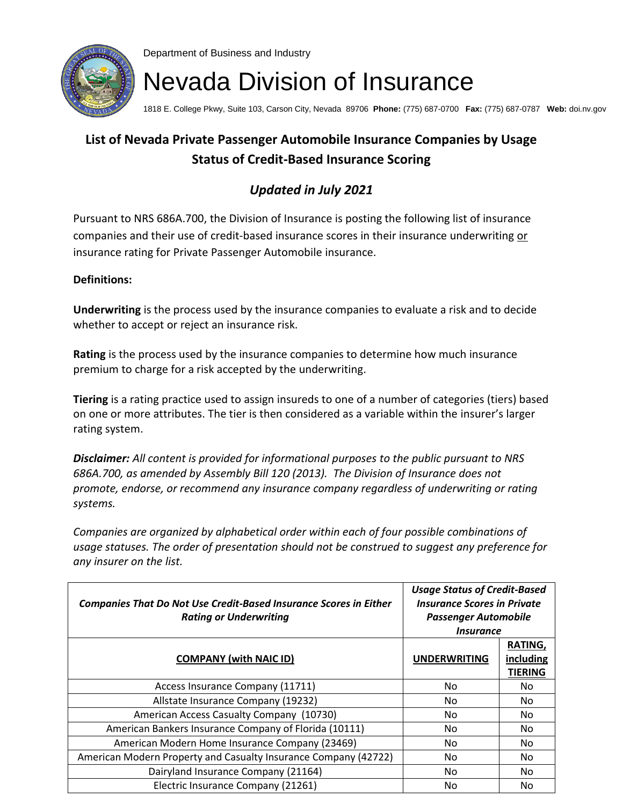

Department of Business and Industry

## Nevada Division of Insurance

1818 E. College Pkwy, Suite 103, Carson City, Nevada 89706 **Phone:** (775) 687-0700 **Fax:** (775) 687-0787 **Web:** doi.nv.gov

## **List of Nevada Private Passenger Automobile Insurance Companies by Usage Status of Credit-Based Insurance Scoring**

## *Updated in July 2021*

Pursuant to NRS 686A.700, the Division of Insurance is posting the following list of insurance companies and their use of credit-based insurance scores in their insurance underwriting or insurance rating for Private Passenger Automobile insurance.

## **Definitions:**

**Underwriting** is the process used by the insurance companies to evaluate a risk and to decide whether to accept or reject an insurance risk.

**Rating** is the process used by the insurance companies to determine how much insurance premium to charge for a risk accepted by the underwriting.

**Tiering** is a rating practice used to assign insureds to one of a number of categories (tiers) based on one or more attributes. The tier is then considered as a variable within the insurer's larger rating system.

*Disclaimer: All content is provided for informational purposes to the public pursuant to NRS 686A.700, as amended by Assembly Bill 120 (2013). The Division of Insurance does not promote, endorse, or recommend any insurance company regardless of underwriting or rating systems.*

*Companies are organized by alphabetical order within each of four possible combinations of usage statuses. The order of presentation should not be construed to suggest any preference for any insurer on the list.*

| <b>Companies That Do Not Use Credit-Based Insurance Scores in Either</b><br><b>Rating or Underwriting</b> | <b>Usage Status of Credit-Based</b><br><b>Insurance Scores in Private</b><br><b>Passenger Automobile</b><br><i><b>Insurance</b></i> |                                        |
|-----------------------------------------------------------------------------------------------------------|-------------------------------------------------------------------------------------------------------------------------------------|----------------------------------------|
| <b>COMPANY (with NAIC ID)</b>                                                                             | <b>UNDERWRITING</b>                                                                                                                 | RATING,<br>including<br><b>TIERING</b> |
| Access Insurance Company (11711)                                                                          | No.                                                                                                                                 | No.                                    |
| Allstate Insurance Company (19232)                                                                        | No.                                                                                                                                 | No.                                    |
| American Access Casualty Company (10730)                                                                  | No.                                                                                                                                 | No.                                    |
| American Bankers Insurance Company of Florida (10111)                                                     | No.                                                                                                                                 | No.                                    |
| American Modern Home Insurance Company (23469)                                                            | No.                                                                                                                                 | No.                                    |
| American Modern Property and Casualty Insurance Company (42722)                                           | No.                                                                                                                                 | No.                                    |
| Dairyland Insurance Company (21164)                                                                       | No.                                                                                                                                 | No.                                    |
| Electric Insurance Company (21261)                                                                        | No                                                                                                                                  | No                                     |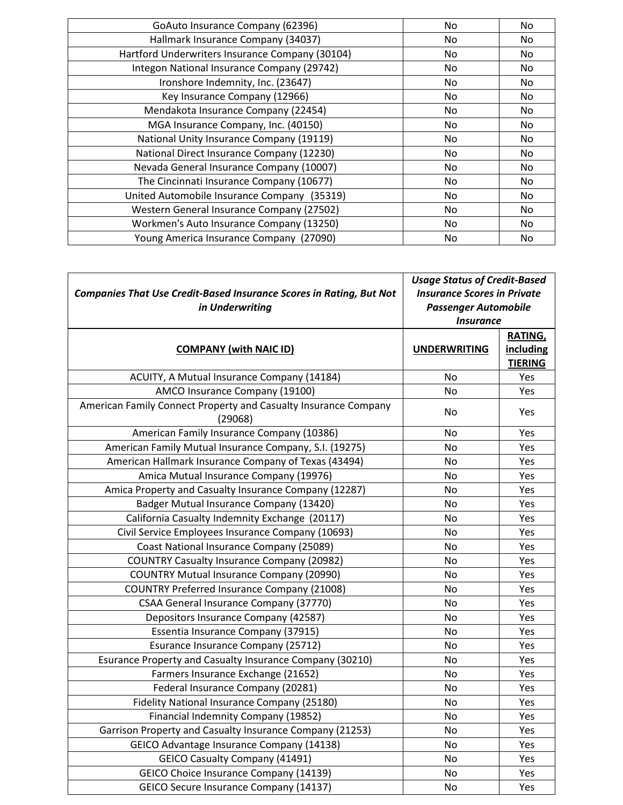| GoAuto Insurance Company (62396)                | No. | No. |
|-------------------------------------------------|-----|-----|
| Hallmark Insurance Company (34037)              | No. | No  |
| Hartford Underwriters Insurance Company (30104) | No. | No  |
| Integon National Insurance Company (29742)      | No. | No. |
| Ironshore Indemnity, Inc. (23647)               | No. | No  |
| Key Insurance Company (12966)                   | No. | No  |
| Mendakota Insurance Company (22454)             | No. | No. |
| MGA Insurance Company, Inc. (40150)             | No. | No  |
| National Unity Insurance Company (19119)        | No. | No  |
| National Direct Insurance Company (12230)       | No. | No. |
| Nevada General Insurance Company (10007)        | No. | No  |
| The Cincinnati Insurance Company (10677)        | No. | No. |
| United Automobile Insurance Company (35319)     | No. | No. |
| Western General Insurance Company (27502)       | No. | No. |
| Workmen's Auto Insurance Company (13250)        | No. | No  |
| Young America Insurance Company (27090)         | No  | No  |

| Companies That Use Credit-Based Insurance Scores in Rating, But Not<br>in Underwriting | <b>Usage Status of Credit-Based</b><br><b>Insurance Scores in Private</b><br><b>Passenger Automobile</b><br><b>Insurance</b> |                                        |
|----------------------------------------------------------------------------------------|------------------------------------------------------------------------------------------------------------------------------|----------------------------------------|
| <b>COMPANY (with NAIC ID)</b>                                                          | <b>UNDERWRITING</b>                                                                                                          | RATING,<br>including<br><b>TIERING</b> |
| ACUITY, A Mutual Insurance Company (14184)                                             | No                                                                                                                           | Yes                                    |
| AMCO Insurance Company (19100)                                                         | <b>No</b>                                                                                                                    | Yes                                    |
| American Family Connect Property and Casualty Insurance Company<br>(29068)             | No                                                                                                                           | Yes                                    |
| American Family Insurance Company (10386)                                              | <b>No</b>                                                                                                                    | Yes                                    |
| American Family Mutual Insurance Company, S.I. (19275)                                 | <b>No</b>                                                                                                                    | Yes                                    |
| American Hallmark Insurance Company of Texas (43494)                                   | No                                                                                                                           | Yes                                    |
| Amica Mutual Insurance Company (19976)                                                 | <b>No</b>                                                                                                                    | Yes                                    |
| Amica Property and Casualty Insurance Company (12287)                                  | <b>No</b>                                                                                                                    | Yes                                    |
| Badger Mutual Insurance Company (13420)                                                | <b>No</b>                                                                                                                    | Yes                                    |
| California Casualty Indemnity Exchange (20117)                                         | No                                                                                                                           | Yes                                    |
| Civil Service Employees Insurance Company (10693)                                      | No                                                                                                                           | Yes                                    |
| Coast National Insurance Company (25089)                                               | No                                                                                                                           | Yes                                    |
| <b>COUNTRY Casualty Insurance Company (20982)</b>                                      | No                                                                                                                           | Yes                                    |
| <b>COUNTRY Mutual Insurance Company (20990)</b>                                        | No                                                                                                                           | Yes                                    |
| <b>COUNTRY Preferred Insurance Company (21008)</b>                                     | No                                                                                                                           | Yes                                    |
| CSAA General Insurance Company (37770)                                                 | <b>No</b>                                                                                                                    | Yes                                    |
| Depositors Insurance Company (42587)                                                   | No                                                                                                                           | Yes                                    |
| Essentia Insurance Company (37915)                                                     | <b>No</b>                                                                                                                    | Yes                                    |
| Esurance Insurance Company (25712)                                                     | No                                                                                                                           | Yes                                    |
| Esurance Property and Casualty Insurance Company (30210)                               | No                                                                                                                           | Yes                                    |
| Farmers Insurance Exchange (21652)                                                     | <b>No</b>                                                                                                                    | Yes                                    |
| Federal Insurance Company (20281)                                                      | No                                                                                                                           | Yes                                    |
| Fidelity National Insurance Company (25180)                                            | No                                                                                                                           | Yes                                    |
| Financial Indemnity Company (19852)                                                    | No                                                                                                                           | Yes                                    |
| Garrison Property and Casualty Insurance Company (21253)                               | No                                                                                                                           | Yes                                    |
| GEICO Advantage Insurance Company (14138)                                              | <b>No</b>                                                                                                                    | Yes                                    |
| <b>GEICO Casualty Company (41491)</b>                                                  | <b>No</b>                                                                                                                    | Yes                                    |
| GEICO Choice Insurance Company (14139)                                                 | No                                                                                                                           | Yes                                    |
| GEICO Secure Insurance Company (14137)                                                 | No                                                                                                                           | Yes                                    |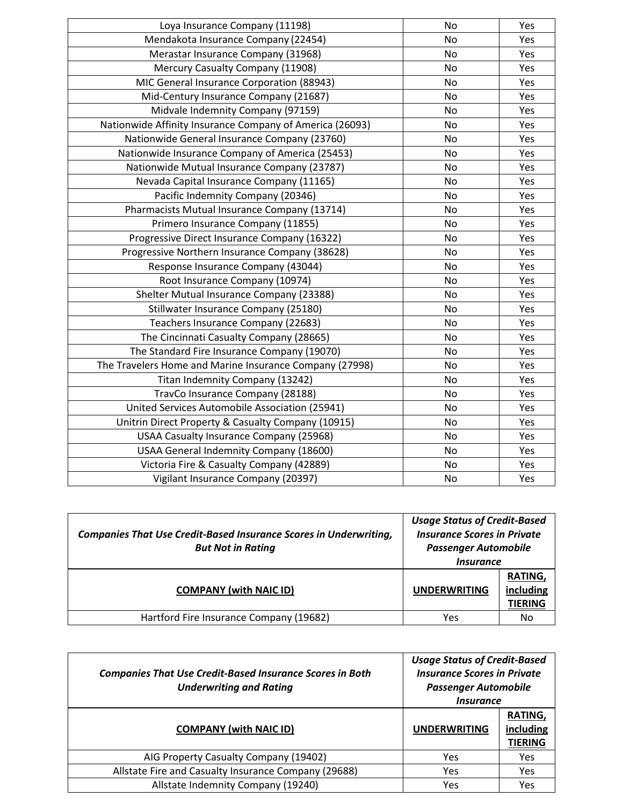| Loya Insurance Company (11198)                           | <b>No</b> | Yes |
|----------------------------------------------------------|-----------|-----|
| Mendakota Insurance Company (22454)                      | <b>No</b> | Yes |
| Merastar Insurance Company (31968)                       | <b>No</b> | Yes |
| Mercury Casualty Company (11908)                         | No        | Yes |
| MIC General Insurance Corporation (88943)                | <b>No</b> | Yes |
| Mid-Century Insurance Company (21687)                    | No        | Yes |
| Midvale Indemnity Company (97159)                        | <b>No</b> | Yes |
| Nationwide Affinity Insurance Company of America (26093) | <b>No</b> | Yes |
| Nationwide General Insurance Company (23760)             | <b>No</b> | Yes |
| Nationwide Insurance Company of America (25453)          | No        | Yes |
| Nationwide Mutual Insurance Company (23787)              | <b>No</b> | Yes |
| Nevada Capital Insurance Company (11165)                 | <b>No</b> | Yes |
| Pacific Indemnity Company (20346)                        | No        | Yes |
| Pharmacists Mutual Insurance Company (13714)             | No        | Yes |
| Primero Insurance Company (11855)                        | <b>No</b> | Yes |
| Progressive Direct Insurance Company (16322)             | No        | Yes |
| Progressive Northern Insurance Company (38628)           | <b>No</b> | Yes |
| Response Insurance Company (43044)                       | <b>No</b> | Yes |
| Root Insurance Company (10974)                           | <b>No</b> | Yes |
| Shelter Mutual Insurance Company (23388)                 | No        | Yes |
| Stillwater Insurance Company (25180)                     | <b>No</b> | Yes |
| Teachers Insurance Company (22683)                       | <b>No</b> | Yes |
| The Cincinnati Casualty Company (28665)                  | <b>No</b> | Yes |
| The Standard Fire Insurance Company (19070)              | No        | Yes |
| The Travelers Home and Marine Insurance Company (27998)  | <b>No</b> | Yes |
| Titan Indemnity Company (13242)                          | <b>No</b> | Yes |
| TravCo Insurance Company (28188)                         | <b>No</b> | Yes |
| United Services Automobile Association (25941)           | No        | Yes |
| Unitrin Direct Property & Casualty Company (10915)       | <b>No</b> | Yes |
| <b>USAA Casualty Insurance Company (25968)</b>           | No        | Yes |
| USAA General Indemnity Company (18600)                   | No        | Yes |
| Victoria Fire & Casualty Company (42889)                 | No        | Yes |
| Vigilant Insurance Company (20397)                       | No        | Yes |
|                                                          |           |     |

| <b>Companies That Use Credit-Based Insurance Scores in Underwriting,</b><br><b>But Not in Rating</b> | <b>Usage Status of Credit-Based</b><br><b>Insurance Scores in Private</b><br><b>Passenger Automobile</b><br><i><u><b>Insurance</b></u></i> |                                        |
|------------------------------------------------------------------------------------------------------|--------------------------------------------------------------------------------------------------------------------------------------------|----------------------------------------|
| <b>COMPANY (with NAIC ID)</b>                                                                        | <b>UNDERWRITING</b>                                                                                                                        | RATING,<br>including<br><b>TIERING</b> |
| Hartford Fire Insurance Company (19682)                                                              | Yes                                                                                                                                        | No                                     |

| <b>Companies That Use Credit-Based Insurance Scores in Both</b><br><b>Underwriting and Rating</b> | <b>Usage Status of Credit-Based</b><br><b>Insurance Scores in Private</b><br><b>Passenger Automobile</b><br><i><u><b>Insurance</b></u></i> |                                 |
|---------------------------------------------------------------------------------------------------|--------------------------------------------------------------------------------------------------------------------------------------------|---------------------------------|
| <b>COMPANY (with NAIC ID)</b>                                                                     | <b>UNDERWRITING</b>                                                                                                                        | RATING,<br>including<br>TIERING |
| AIG Property Casualty Company (19402)                                                             | Yes                                                                                                                                        | Yes                             |
| Allstate Fire and Casualty Insurance Company (29688)                                              | Yes                                                                                                                                        | Yes                             |
| Allstate Indemnity Company (19240)                                                                | Yes                                                                                                                                        | Yes                             |